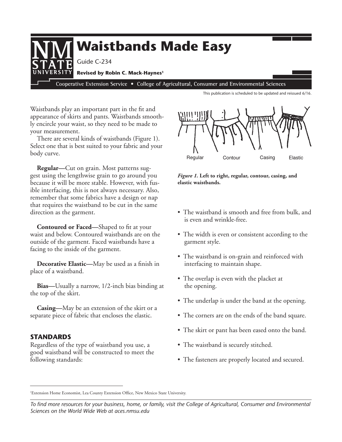

This publication is scheduled to be updated and reissued 6/16.

Waistbands play an important part in the fit and appearance of skirts and pants. Waistbands smoothly encircle your waist, so they need to be made to your measurement.

There are several kinds of waistbands (Figure 1). Select one that is best suited to your fabric and your body curve.

**Regular—**Cut on grain. Most patterns suggest using the lengthwise grain to go around you because it will be more stable. However, with fusible interfacing, this is not always necessary. Also, remember that some fabrics have a design or nap that requires the waistband to be cut in the same direction as the garment.

**Contoured or Faced—**Shaped to fit at your waist and below. Contoured waistbands are on the outside of the garment. Faced waistbands have a facing to the inside of the garment.

**Decorative Elastic—**May be used as a finish in place of a waistband.

**Bias—**Usually a narrow, 1/2-inch bias binding at the top of the skirt.

**Casing—**May be an extension of the skirt or a separate piece of fabric that encloses the elastic.

## **StandaRdS**

Regardless of the type of waistband you use, a good waistband will be constructed to meet the following standards:



*Figure 1.* **Left to right, regular, contour, casing, and elastic waistbands.**

- The waistband is smooth and free from bulk, and is even and wrinkle-free.
- The width is even or consistent according to the garment style.
- The waistband is on-grain and reinforced with interfacing to maintain shape.
- The overlap is even with the placket at the opening.
- The underlap is under the band at the opening.
- The corners are on the ends of the band square.
- The skirt or pant has been eased onto the band.
- The waistband is securely stitched.
- The fasteners are properly located and secured.

1 Extension Home Economist, Lea County Extension Office, New Mexico State University.

*To find more resources for your business, home, or family, visit the College of Agricultural, Consumer and Environmental Sciences on the World Wide Web at aces.nmsu.edu*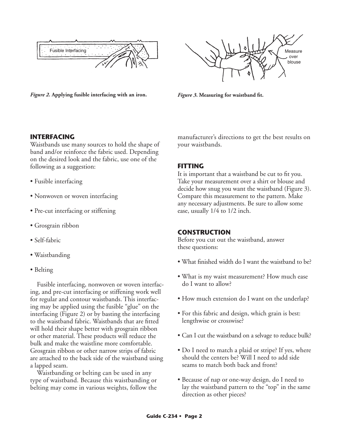

*Figure 2***. Applying fusible interfacing with an iron.** *Figure 3***. Measuring for waistband fit.**



# **IntERfaCInG**

Waistbands use many sources to hold the shape of band and/or reinforce the fabric used. Depending on the desired look and the fabric, use one of the following as a suggestion:

- Fusible interfacing
- Nonwoven or woven interfacing
- Pre-cut interfacing or stiffening
- Grosgrain ribbon
- Self-fabric
- Waistbanding
- Belting

Fusible interfacing, nonwoven or woven interfacing, and pre-cut interfacing or stiffening work well for regular and contour waistbands. This interfacing may be applied using the fusible "glue" on the interfacing (Figure 2) or by basting the interfacing to the waistband fabric. Waistbands that are fitted will hold their shape better with grosgrain ribbon or other material. These products will reduce the bulk and make the waistline more comfortable. Grosgrain ribbon or other narrow strips of fabric are attached to the back side of the waistband using a lapped seam.

Waistbanding or belting can be used in any type of waistband. Because this waistbanding or belting may come in various weights, follow the manufacturer's directions to get the best results on your waistbands.

## **FITTING**

It is important that a waistband be cut to fit you. Take your measurement over a shirt or blouse and decide how snug you want the waistband (Figure 3). Compare this measurement to the pattern. Make any necessary adjustments. Be sure to allow some ease, usually 1/4 to 1/2 inch.

## **ConStRuCtIon**

Before you cut out the waistband, answer these questions:

- What finished width do I want the waistband to be?
- What is my waist measurement? How much ease do I want to allow?
- How much extension do I want on the underlap?
- For this fabric and design, which grain is best: lengthwise or crosswise?
- Can I cut the waistband on a selvage to reduce bulk?
- Do I need to match a plaid or stripe? If yes, where should the centers be? Will I need to add side seams to match both back and front?
- Because of nap or one-way design, do I need to lay the waistband pattern to the "top" in the same direction as other pieces?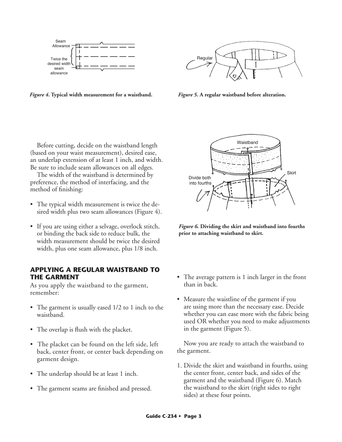

*Figure 4***. Typical width measurement for a waistband.** *Figure 5***. A regular waistband before alteration.**



Before cutting, decide on the waistband length (based on your waist measurement), desired ease, an underlap extension of at least 1 inch, and width. Be sure to include seam allowances on all edges.

The width of the waistband is determined by preference, the method of interfacing, and the method of finishing:

- The typical width measurement is twice the desired width plus two seam allowances (Figure 4).
- If you are using either a selvage, overlock stitch, or binding the back side to reduce bulk, the width measurement should be twice the desired width, plus one seam allowance, plus 1/8 inch.

#### **APPLYING A REGULAR WAISTBAND TO THE GARMENT**

As you apply the waistband to the garment, remember:

- The garment is usually eased 1/2 to 1 inch to the waistband.
- The overlap is flush with the placket.
- The placket can be found on the left side, left back, center front, or center back depending on garment design.
- The underlap should be at least 1 inch.
- The garment seams are finished and pressed.



*Figure 6.* **Dividing the skirt and waistband into fourths prior to attaching waistband to skirt.**

- The average pattern is 1 inch larger in the front than in back.
- Measure the waistline of the garment if you are using more than the necessary ease. Decide whether you can ease more with the fabric being used OR whether you need to make adjustments in the garment (Figure 5).

Now you are ready to attach the waistband to the garment.

1. Divide the skirt and waistband in fourths, using the center front, center back, and sides of the garment and the waistband (Figure 6). Match the waistband to the skirt (right sides to right sides) at these four points.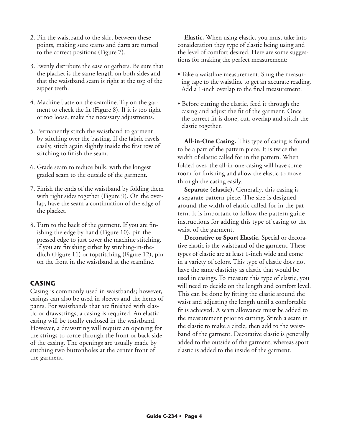- 2. Pin the waistband to the skirt between these points, making sure seams and darts are turned to the correct positions (Figure 7).
- 3. Evenly distribute the ease or gathers. Be sure that the placket is the same length on both sides and that the waistband seam is right at the top of the zipper teeth.
- 4. Machine baste on the seamline. Try on the garment to check the fit (Figure 8). If it is too tight or too loose, make the necessary adjustments.
- 5. Permanently stitch the waistband to garment by stitching over the basting. If the fabric ravels easily, stitch again slightly inside the first row of stitching to finish the seam.
- 6. Grade seam to reduce bulk, with the longest graded seam to the outside of the garment.
- 7. Finish the ends of the waistband by folding them with right sides together (Figure 9). On the overlap, have the seam a continuation of the edge of the placket.
- 8. Turn to the back of the garment. If you are finishing the edge by hand (Figure 10), pin the pressed edge to just cover the machine stitching. If you are finishing either by stitching-in-theditch (Figure 11) or topstitching (Figure 12), pin on the front in the waistband at the seamline.

# **CaSInG**

Casing is commonly used in waistbands; however, casings can also be used in sleeves and the hems of pants. For waistbands that are finished with elastic or drawstrings, a casing is required. An elastic casing will be totally enclosed in the waistband. However, a drawstring will require an opening for the strings to come through the front or back side of the casing. The openings are usually made by stitching two buttonholes at the center front of the garment.

**Elastic.** When using elastic, you must take into consideration they type of elastic being using and the level of comfort desired. Here are some suggestions for making the perfect measurement:

- Take a waistline measurement. Snug the measuring tape to the waistline to get an accurate reading. Add a 1-inch overlap to the final measurement.
- Before cutting the elastic, feed it through the casing and adjust the fit of the garment. Once the correct fit is done, cut, overlap and stitch the elastic together.

**All-in-One Casing.** This type of casing is found to be a part of the pattern piece. It is twice the width of elastic called for in the pattern. When folded over, the all-in-one-casing will have some room for finishing and allow the elastic to move through the casing easily.

**Separate (elastic).** Generally, this casing is a separate pattern piece. The size is designed around the width of elastic called for in the pattern. It is important to follow the pattern guide instructions for adding this type of casing to the waist of the garment.

**Decorative or Sport Elastic.** Special or decorative elastic is the waistband of the garment. These types of elastic are at least 1-inch wide and come in a variety of colors. This type of elastic does not have the same elasticity as elastic that would be used in casings. To measure this type of elastic, you will need to decide on the length and comfort level. This can be done by fitting the elastic around the waist and adjusting the length until a comfortable fit is achieved. A seam allowance must be added to the measurement prior to cutting. Stitch a seam in the elastic to make a circle, then add to the waistband of the garment. Decorative elastic is generally added to the outside of the garment, whereas sport elastic is added to the inside of the garment.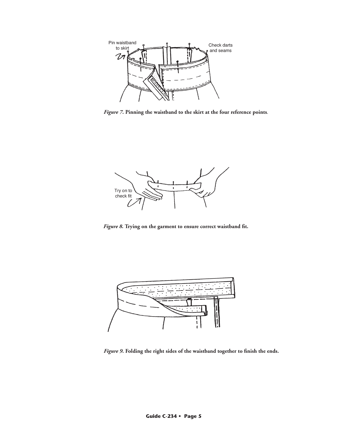

*Figure 7***. Pinning the waistband to the skirt at the four reference points**.



*Figure 8.* **Trying on the garment to ensure correct waistband fit.**



*Figure 9***. Folding the right sides of the waistband together to finish the ends.**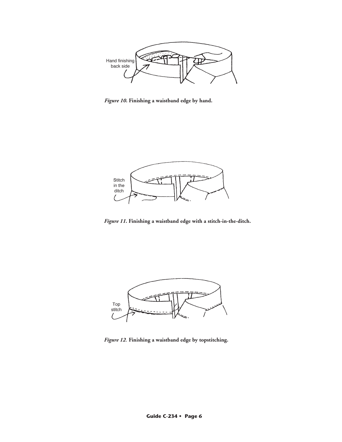

*Figure 10***. Finishing a waistband edge by hand.**



*Figure 11***. Finishing a waistband edge with a stitch-in-the-ditch.**



*Figure 12*. **Finishing a waistband edge by topstitching.**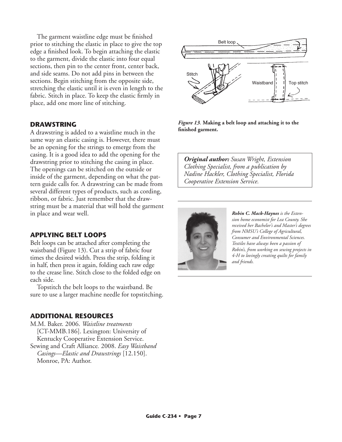The garment waistline edge must be finished prior to stitching the elastic in place to give the top edge a finished look. To begin attaching the elastic to the garment, divide the elastic into four equal sections, then pin to the center front, center back, and side seams. Do not add pins in between the sections. Begin stitching from the opposite side, stretching the elastic until it is even in length to the fabric. Stitch in place. To keep the elastic firmly in place, add one more line of stitching.

# **DRAWSTRING**

A drawstring is added to a waistline much in the same way an elastic casing is. However, there must be an opening for the strings to emerge from the casing. It is a good idea to add the opening for the drawstring prior to stitching the casing in place. The openings can be stitched on the outside or inside of the garment, depending on what the pattern guide calls for. A drawstring can be made from several different types of products, such as cording, ribbon, or fabric. Just remember that the drawstring must be a material that will hold the garment in place and wear well.

## **APPLYING BELT LOOPS**

Belt loops can be attached after completing the waistband (Figure 13). Cut a strip of fabric four times the desired width. Press the strip, folding it in half, then press it again, folding each raw edge to the crease line. Stitch close to the folded edge on each side.

Topstitch the belt loops to the waistband. Be sure to use a larger machine needle for topstitching.

## **ADDITIONAL RESOURCES**

M.M. Baker. 2006. *Waistline treatments*  [CT-MMB.186]. Lexington: University of Kentucky Cooperative Extension Service. Sewing and Craft Alliance*.* 2008. *Easy Waistband Casings—Elastic and Drawstrings* [12.150]. Monroe, PA: Author.



*Figure 13*. **Making a belt loop and attaching it to the finished garment.**

*Original author: Susan Wright, Extension Clothing Specialist, from a publication by Nadine Hackler, Clothing Specialist, Florida Cooperative Extension Service.*



*Robin C. Mack-Haynes is the Extension home economist for Lea County. She received her Bachelor's and Master's degrees from NMSU's College of Agricultural, Consumer and Environmental Sciences. Textiles have always been a passion of Robin's, from working on sewing projects in 4-H to lovingly creating quilts for family and friends.*